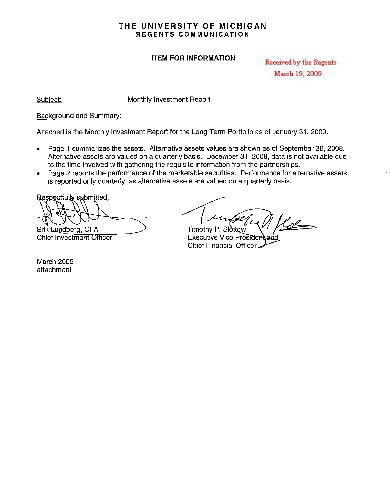## **THE UNIVERSITY OF MICHIGAN REGENTS COMMUNICATION**

### **ITEM FOR INFORMATION**

Received by the Regents March 19, 2009

Subject:

Monthly Investment Report

#### Background and Summary:

Attached is the Monthly Investment Report for the Long **Term** Portfolio as of January 31,2009.

- Page 1 summarizes the assets. Alternative assets values are shown as of September 30, 2008. Alternative assets are valued on a quarterly basis. December 31,2008, data is not available due to the time involved with gathering the requisite information from the partnerships.
- Page 2 reports the performance of the marketable securities. Performance for alternative assets is reported only quarterly, as alternative assets are valued on a quarterly basis.

Respectfully submitted,

Erik **Lundberg**, CFA Chief Investment Officer

March 2009 attachment

 $\frac{1}{\frac{1}{\frac{1}{1000}}\cdot\frac{1}{100000}}$ 

Executive Vice President and Chief Financial Officer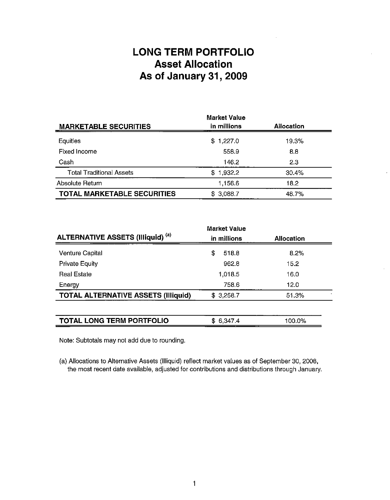## **LONG TERM PORTFOLIO Asset Allocation As of January 31, 2009**

|                                    | <b>Market Value</b> |            |  |
|------------------------------------|---------------------|------------|--|
| <b>MARKETABLE SECURITIES</b>       | in millions         | Allocation |  |
| <b>Equities</b>                    | \$1,227.0           | 19.3%      |  |
| Fixed Income                       | 558.9               | 8.8        |  |
| Cash                               | 146.2               | 2.3        |  |
| <b>Total Traditional Assets</b>    | \$1,932.2           | 30.4%      |  |
| Absolute Return                    | 1,156.6             | 18.2       |  |
| <b>TOTAL MARKETABLE SECURITIES</b> | \$3,088.7           | 48.7%      |  |

| <b>ALTERNATIVE ASSETS (Illiquid) (a)</b>   | <b>Market Value</b><br>in millions | Allocation |  |
|--------------------------------------------|------------------------------------|------------|--|
|                                            |                                    |            |  |
| <b>Venture Capital</b>                     | \$<br>518.8                        | 8.2%       |  |
| <b>Private Equity</b>                      | 962.8                              | 15.2       |  |
| <b>Real Estate</b>                         | 1,018.5                            | 16.0       |  |
| Energy                                     | 758.6                              | 12.0       |  |
| <b>TOTAL ALTERNATIVE ASSETS (Illiquid)</b> | \$3,258.7                          | 51.3%      |  |
|                                            |                                    |            |  |
| TOTAL LONG TERM PORTFOLIO                  | 6.347.4<br>S.                      | 100.0%     |  |

Note: Subtotals may not add due to rounding.

(a) Allocations to Alternative Assets (Illiquid) reflect market values as of September 30, 2008, the most recent date available, adjusted for contributions and distributions through January.